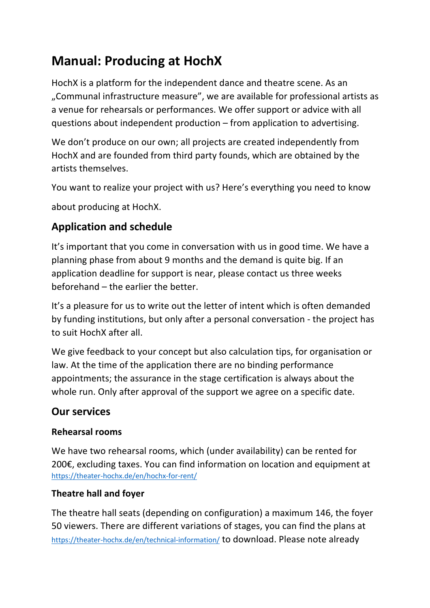# **Manual: Producing at HochX**

HochX is a platform for the independent dance and theatre scene. As an "Communal infrastructure measure", we are available for professional artists as a venue for rehearsals or performances. We offer support or advice with all questions about independent production – from application to advertising.

We don't produce on our own; all projects are created independently from HochX and are founded from third party founds, which are obtained by the artists themselves.

You want to realize your project with us? Here's everything you need to know

about producing at HochX.

## **Application and schedule**

It's important that you come in conversation with us in good time. We have a planning phase from about 9 months and the demand is quite big. If an application deadline for support is near, please contact us three weeks beforehand – the earlier the better.

It's a pleasure for us to write out the letter of intent which is often demanded by funding institutions, but only after a personal conversation - the project has to suit HochX after all.

We give feedback to your concept but also calculation tips, for organisation or law. At the time of the application there are no binding performance appointments; the assurance in the stage certification is always about the whole run. Only after approval of the support we agree on a specific date.

## **Our services**

## **Rehearsal rooms**

We have two rehearsal rooms, which (under availability) can be rented for 200€, excluding taxes. You can find information on location and equipment at https://theater-hochx.de/en/hochx-for-rent/

## **Theatre hall and foyer**

The theatre hall seats (depending on configuration) a maximum 146, the foyer 50 viewers. There are different variations of stages, you can find the plans at https://theater-hochx.de/en/technical-information/ to download. Please note already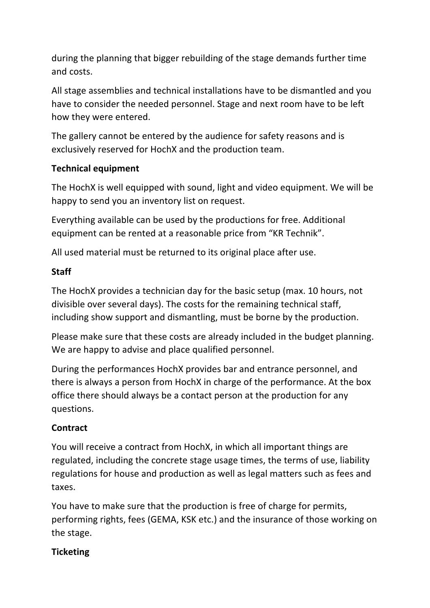during the planning that bigger rebuilding of the stage demands further time and costs.

All stage assemblies and technical installations have to be dismantled and you have to consider the needed personnel. Stage and next room have to be left how they were entered.

The gallery cannot be entered by the audience for safety reasons and is exclusively reserved for HochX and the production team.

## **Technical equipment**

The HochX is well equipped with sound, light and video equipment. We will be happy to send you an inventory list on request.

Everything available can be used by the productions for free. Additional equipment can be rented at a reasonable price from "KR Technik".

All used material must be returned to its original place after use.

## **Staff**

The HochX provides a technician day for the basic setup (max. 10 hours, not divisible over several days). The costs for the remaining technical staff, including show support and dismantling, must be borne by the production.

Please make sure that these costs are already included in the budget planning. We are happy to advise and place qualified personnel.

During the performances HochX provides bar and entrance personnel, and there is always a person from HochX in charge of the performance. At the box office there should always be a contact person at the production for any questions.

## **Contract**

You will receive a contract from HochX, in which all important things are regulated, including the concrete stage usage times, the terms of use, liability regulations for house and production as well as legal matters such as fees and taxes.

You have to make sure that the production is free of charge for permits, performing rights, fees (GEMA, KSK etc.) and the insurance of those working on the stage.

## **Ticketing**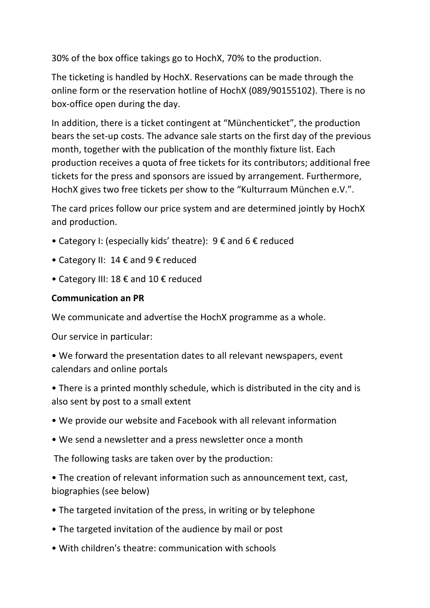30% of the box office takings go to HochX, 70% to the production.

The ticketing is handled by HochX. Reservations can be made through the online form or the reservation hotline of HochX (089/90155102). There is no box-office open during the day.

In addition, there is a ticket contingent at "Münchenticket", the production bears the set-up costs. The advance sale starts on the first day of the previous month, together with the publication of the monthly fixture list. Each production receives a quota of free tickets for its contributors; additional free tickets for the press and sponsors are issued by arrangement. Furthermore, HochX gives two free tickets per show to the "Kulturraum München e.V.".

The card prices follow our price system and are determined jointly by HochX and production.

- Category I: (especially kids' theatre):  $9 \notin \text{and } 6 \notin \text{reduced}$
- Category II: 14  $\epsilon$  and 9  $\epsilon$  reduced
- Category III: 18  $\epsilon$  and 10  $\epsilon$  reduced

## **Communication an PR**

We communicate and advertise the HochX programme as a whole.

Our service in particular:

• We forward the presentation dates to all relevant newspapers, event calendars and online portals

• There is a printed monthly schedule, which is distributed in the city and is also sent by post to a small extent

- We provide our website and Facebook with all relevant information
- We send a newsletter and a press newsletter once a month

The following tasks are taken over by the production:

• The creation of relevant information such as announcement text, cast, biographies (see below)

- The targeted invitation of the press, in writing or by telephone
- The targeted invitation of the audience by mail or post
- With children's theatre: communication with schools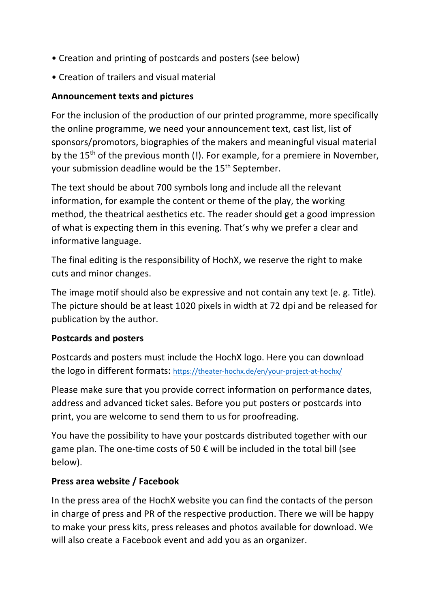- Creation and printing of postcards and posters (see below)
- Creation of trailers and visual material

#### **Announcement texts and pictures**

For the inclusion of the production of our printed programme, more specifically the online programme, we need your announcement text, cast list, list of sponsors/promotors, biographies of the makers and meaningful visual material by the 15<sup>th</sup> of the previous month (!). For example, for a premiere in November, your submission deadline would be the 15<sup>th</sup> September.

The text should be about 700 symbols long and include all the relevant information, for example the content or theme of the play, the working method, the theatrical aesthetics etc. The reader should get a good impression of what is expecting them in this evening. That's why we prefer a clear and informative language.

The final editing is the responsibility of HochX, we reserve the right to make cuts and minor changes.

The image motif should also be expressive and not contain any text (e. g. Title). The picture should be at least 1020 pixels in width at 72 dpi and be released for publication by the author.

#### **Postcards and posters**

Postcards and posters must include the HochX logo. Here you can download the logo in different formats: https://theater-hochx.de/en/your-project-at-hochx/

Please make sure that you provide correct information on performance dates, address and advanced ticket sales. Before you put posters or postcards into print, you are welcome to send them to us for proofreading.

You have the possibility to have your postcards distributed together with our game plan. The one-time costs of 50  $\epsilon$  will be included in the total bill (see below).

#### **Press area website / Facebook**

In the press area of the HochX website you can find the contacts of the person in charge of press and PR of the respective production. There we will be happy to make your press kits, press releases and photos available for download. We will also create a Facebook event and add you as an organizer.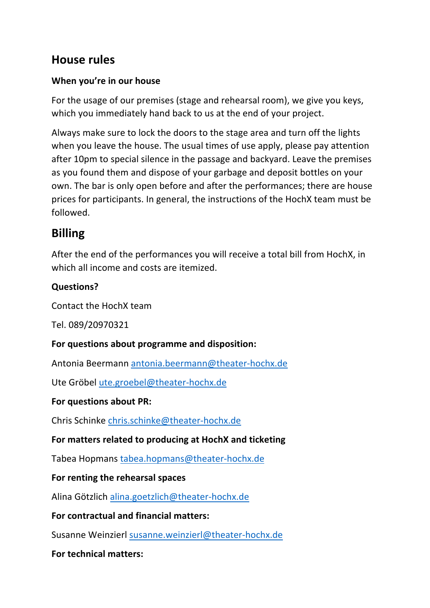## **House rules**

## **When you're in our house**

For the usage of our premises (stage and rehearsal room), we give you keys, which you immediately hand back to us at the end of your project.

Always make sure to lock the doors to the stage area and turn off the lights when you leave the house. The usual times of use apply, please pay attention after 10pm to special silence in the passage and backyard. Leave the premises as you found them and dispose of your garbage and deposit bottles on your own. The bar is only open before and after the performances; there are house prices for participants. In general, the instructions of the HochX team must be followed.

## **Billing**

After the end of the performances you will receive a total bill from HochX, in which all income and costs are itemized.

## **Questions?**

Contact the HochX team

Tel. 089/20970321

## **For questions about programme and disposition:**

Antonia Beermann antonia.beermann@theater-hochx.de

Ute Gröbel ute.groebel@theater-hochx.de

## **For questions about PR:**

Chris Schinke chris.schinke@theater-hochx.de

## **For matters related to producing at HochX and ticketing**

Tabea Hopmans tabea.hopmans@theater-hochx.de

## **For renting the rehearsal spaces**

Alina Götzlich alina.goetzlich@theater-hochx.de

## **For contractual and financial matters:**

Susanne Weinzierl susanne.weinzierl@theater-hochx.de

## **For technical matters:**